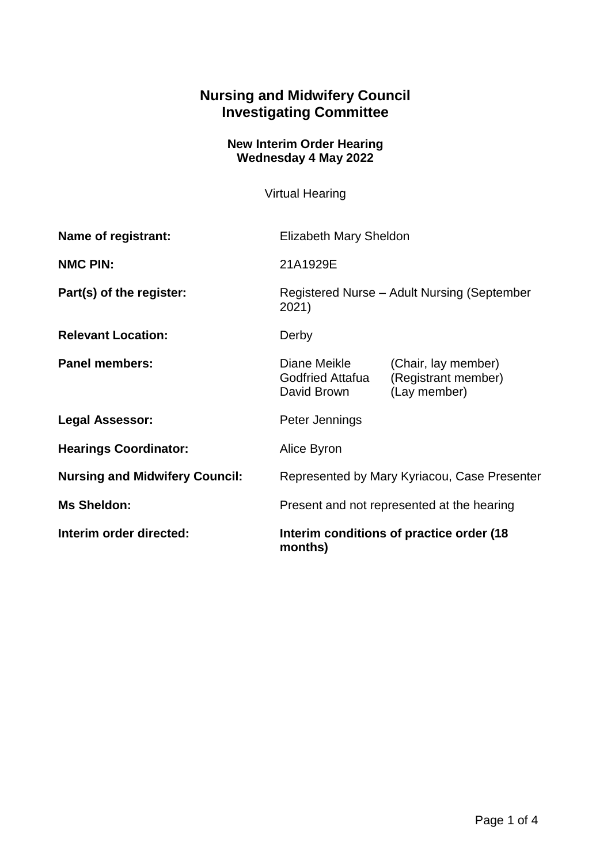## **Nursing and Midwifery Council Investigating Committee**

## **New Interim Order Hearing Wednesday 4 May 2022**

Virtual Hearing

| Name of registrant:                   | <b>Elizabeth Mary Sheldon</b>                        |                                                            |
|---------------------------------------|------------------------------------------------------|------------------------------------------------------------|
| <b>NMC PIN:</b>                       | 21A1929E                                             |                                                            |
| Part(s) of the register:              | Registered Nurse - Adult Nursing (September<br>2021) |                                                            |
| <b>Relevant Location:</b>             | Derby                                                |                                                            |
| <b>Panel members:</b>                 | Diane Meikle<br>Godfried Attafua<br>David Brown      | (Chair, lay member)<br>(Registrant member)<br>(Lay member) |
| <b>Legal Assessor:</b>                | Peter Jennings                                       |                                                            |
| <b>Hearings Coordinator:</b>          | Alice Byron                                          |                                                            |
| <b>Nursing and Midwifery Council:</b> | Represented by Mary Kyriacou, Case Presenter         |                                                            |
| <b>Ms Sheldon:</b>                    | Present and not represented at the hearing           |                                                            |
| Interim order directed:               | Interim conditions of practice order (18)<br>months) |                                                            |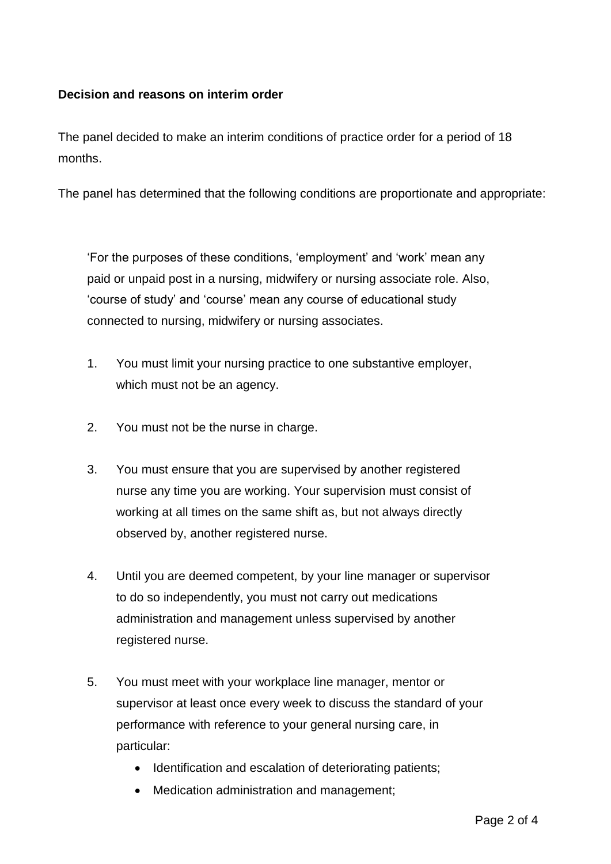## **Decision and reasons on interim order**

The panel decided to make an interim conditions of practice order for a period of 18 months.

The panel has determined that the following conditions are proportionate and appropriate:

'For the purposes of these conditions, 'employment' and 'work' mean any paid or unpaid post in a nursing, midwifery or nursing associate role. Also, 'course of study' and 'course' mean any course of educational study connected to nursing, midwifery or nursing associates.

- 1. You must limit your nursing practice to one substantive employer, which must not be an agency.
- 2. You must not be the nurse in charge.
- 3. You must ensure that you are supervised by another registered nurse any time you are working. Your supervision must consist of working at all times on the same shift as, but not always directly observed by, another registered nurse.
- 4. Until you are deemed competent, by your line manager or supervisor to do so independently, you must not carry out medications administration and management unless supervised by another registered nurse.
- 5. You must meet with your workplace line manager, mentor or supervisor at least once every week to discuss the standard of your performance with reference to your general nursing care, in particular:
	- Identification and escalation of deteriorating patients;
	- Medication administration and management;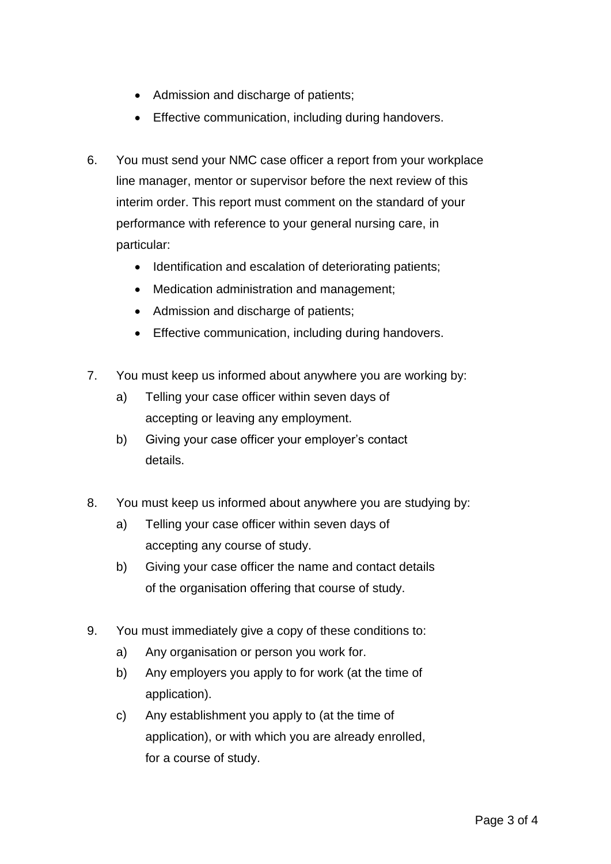- Admission and discharge of patients;
- **Effective communication, including during handovers.**
- 6. You must send your NMC case officer a report from your workplace line manager, mentor or supervisor before the next review of this interim order. This report must comment on the standard of your performance with reference to your general nursing care, in particular:
	- Identification and escalation of deteriorating patients;
	- Medication administration and management;
	- Admission and discharge of patients;
	- **Effective communication, including during handovers.**
- 7. You must keep us informed about anywhere you are working by:
	- a) Telling your case officer within seven days of accepting or leaving any employment.
	- b) Giving your case officer your employer's contact details.
- 8. You must keep us informed about anywhere you are studying by:
	- a) Telling your case officer within seven days of accepting any course of study.
	- b) Giving your case officer the name and contact details of the organisation offering that course of study.
- 9. You must immediately give a copy of these conditions to:
	- a) Any organisation or person you work for.
	- b) Any employers you apply to for work (at the time of application).
	- c) Any establishment you apply to (at the time of application), or with which you are already enrolled, for a course of study.